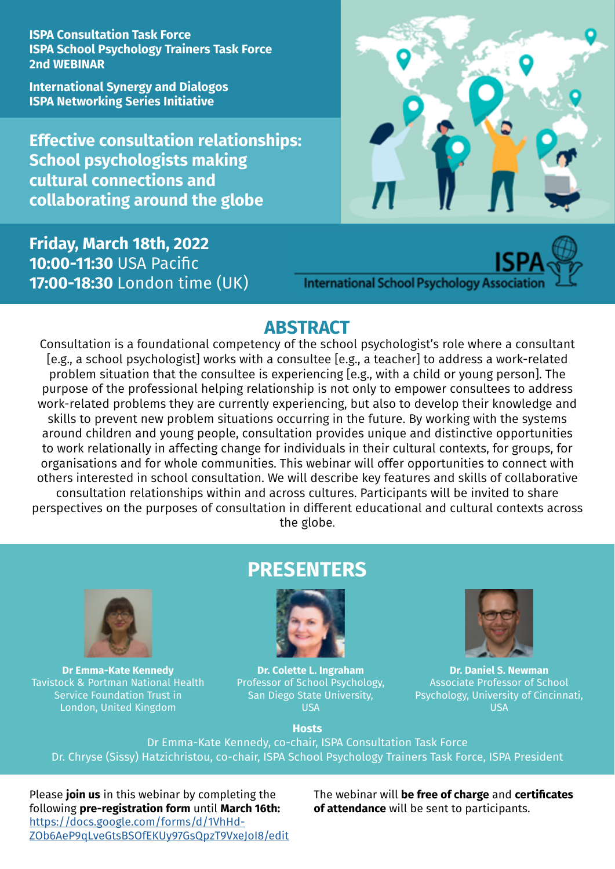**ISPA Consultation Task Force ISPA School Psychology Trainers Task Force 2nd WEBINAR**

**International Synergy and Dialogos ISPA Networking Series Initiative**

**Effective consultation relationships: School psychologists making cultural connections and collaborating around the globe**

#### **Friday, March 18th, 2022 10:00-11:30** USA Pacific **17:00-18:30** London time (UK)



## **International School Psychology Association**

#### **ABSTRACT**

Consultation is a foundational competency of the school psychologist's role where a consultant [e.g., a school psychologist] works with a consultee [e.g., a teacher] to address a work-related problem situation that the consultee is experiencing [e.g., with a child or young person]. The purpose of the professional helping relationship is not only to empower consultees to address work-related problems they are currently experiencing, but also to develop their knowledge and skills to prevent new problem situations occurring in the future. By working with the systems around children and young people, consultation provides unique and distinctive opportunities to work relationally in affecting change for individuals in their cultural contexts, for groups, for organisations and for whole communities. This webinar will offer opportunities to connect with others interested in school consultation. We will describe key features and skills of collaborative consultation relationships within and across cultures. Participants will be invited to share perspectives on the purposes of consultation in different educational and cultural contexts across the globe.



**Dr Emma-Kate Kennedy** Tavistock & Portman National Health Service Foundation Trust in London, United Kingdom

### **PRESENTERS**



**Dr. Colette L. Ingraham**  Professor of School Psychology, San Diego State University, USA



**Dr. Daniel S. Newman** Associate Professor of School Psychology, University of Cincinnati, USA

**Ηosts**

Dr Emma-Kate Kennedy, co-chair, ISPA Consultation Task Force Dr. Chryse (Sissy) Hatzichristou, co-chair, ISPA School Psychology Trainers Task Force, ΙSPA President

Please **join us** in this webinar by completing the following **pre-registration form** until **March 16th:** [https://docs.google.com/forms/d/1VhHd-](https://docs.google.com/forms/d/1VhHdZOb6AeP9qLveGtsBSOfEKUy97GsQpzT9VxeJoI8/edit)[ZOb6AeP9qLveGtsBSOfEKUy97GsQpzT9VxeJoI8/edit](https://docs.google.com/forms/d/1VhHdZOb6AeP9qLveGtsBSOfEKUy97GsQpzT9VxeJoI8/edit) The webinar will **be free of charge** and **certificates of attendance** will be sent to participants.